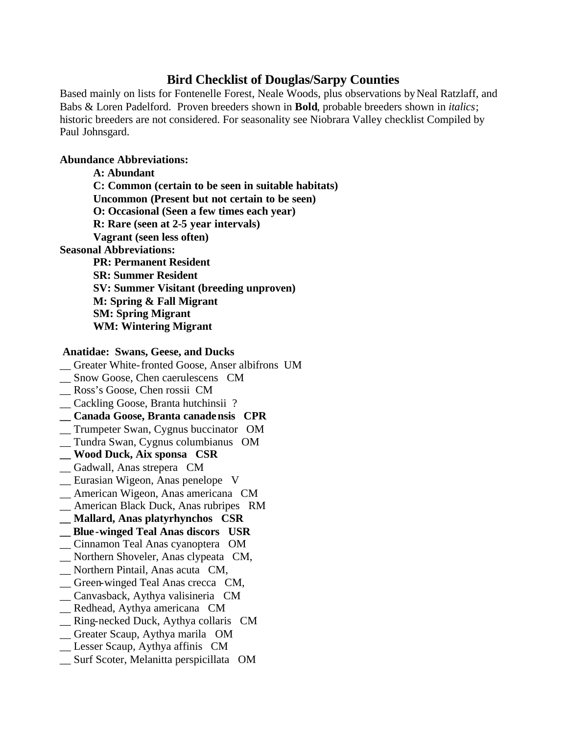## **Bird Checklist of Douglas/Sarpy Counties**

Based mainly on lists for Fontenelle Forest, Neale Woods, plus observations by Neal Ratzlaff, and Babs & Loren Padelford. Proven breeders shown in **Bold**, probable breeders shown in *italics*; historic breeders are not considered. For seasonality see Niobrara Valley checklist Compiled by Paul Johnsgard.

## **Abundance Abbreviations:**

**A: Abundant C: Common (certain to be seen in suitable habitats) Uncommon (Present but not certain to be seen) O: Occasional (Seen a few times each year) R: Rare (seen at 2-5 year intervals) Vagrant (seen less often) Seasonal Abbreviations: PR: Permanent Resident SR: Summer Resident SV: Summer Visitant (breeding unproven) M: Spring & Fall Migrant SM: Spring Migrant WM: Wintering Migrant**

## **Anatidae: Swans, Geese, and Ducks**

- \_\_ Greater White-fronted Goose, Anser albifrons UM
- \_\_ Snow Goose, Chen caerulescens CM
- \_\_ Ross's Goose, Chen rossii CM
- \_\_ Cackling Goose, Branta hutchinsii ?
- **\_\_ Canada Goose, Branta canadensis CPR**
- \_\_ Trumpeter Swan, Cygnus buccinator OM
- \_\_ Tundra Swan, Cygnus columbianus OM
- **\_\_ Wood Duck, Aix sponsa CSR**
- \_\_ Gadwall, Anas strepera CM
- \_\_ Eurasian Wigeon, Anas penelope V
- \_\_ American Wigeon, Anas americana CM
- \_\_ American Black Duck, Anas rubripes RM
- **\_\_ Mallard, Anas platyrhynchos CSR**
- **\_\_ Blue-winged Teal Anas discors USR**
- \_\_ Cinnamon Teal Anas cyanoptera OM
- \_\_ Northern Shoveler, Anas clypeata CM,
- \_\_ Northern Pintail, Anas acuta CM,
- \_\_ Green-winged Teal Anas crecca CM,
- \_\_ Canvasback, Aythya valisineria CM
- \_\_ Redhead, Aythya americana CM
- \_\_ Ring-necked Duck, Aythya collaris CM
- \_\_ Greater Scaup, Aythya marila OM
- \_\_ Lesser Scaup, Aythya affinis CM
- \_\_ Surf Scoter, Melanitta perspicillata OM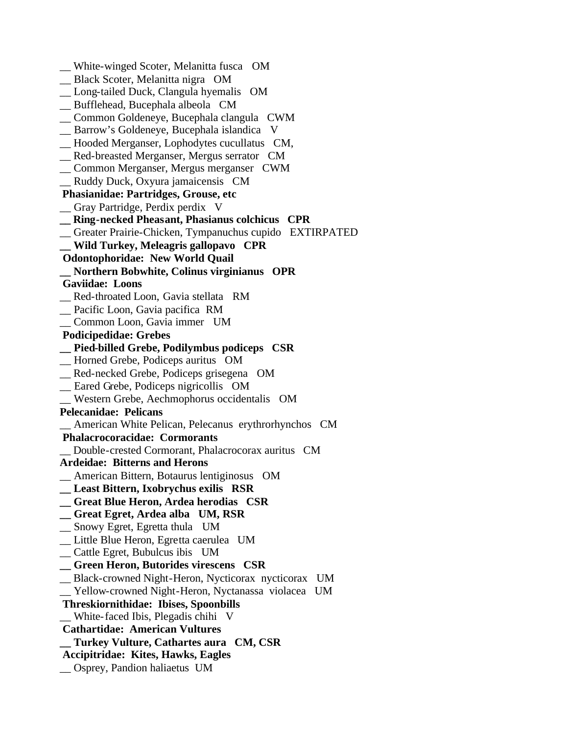\_\_ White-winged Scoter, Melanitta fusca OM \_\_ Black Scoter, Melanitta nigra OM \_\_ Long-tailed Duck, Clangula hyemalis OM \_\_ Bufflehead, Bucephala albeola CM \_\_ Common Goldeneye, Bucephala clangula CWM \_\_ Barrow's Goldeneye, Bucephala islandica V \_\_ Hooded Merganser, Lophodytes cucullatus CM, \_\_ Red-breasted Merganser, Mergus serrator CM \_\_ Common Merganser, Mergus merganser CWM \_\_ Ruddy Duck, Oxyura jamaicensis CM  **Phasianidae: Partridges, Grouse, etc** \_\_ Gray Partridge, Perdix perdix V **\_\_ Ring-necked Pheasant, Phasianus colchicus CPR** \_\_ Greater Prairie-Chicken, Tympanuchus cupido EXTIRPATED **\_\_ Wild Turkey, Meleagris gallopavo CPR Odontophoridae: New World Quail \_\_ Northern Bobwhite, Colinus virginianus OPR Gaviidae: Loons** \_\_ Red-throated Loon, Gavia stellata RM \_\_ Pacific Loon, Gavia pacifica RM \_\_ Common Loon, Gavia immer UM  **Podicipedidae: Grebes \_\_ Pied-billed Grebe, Podilymbus podiceps CSR** \_\_ Horned Grebe, Podiceps auritus OM \_\_ Red-necked Grebe, Podiceps grisegena OM \_\_ Eared Grebe, Podiceps nigricollis OM \_\_ Western Grebe, Aechmophorus occidentalis OM **Pelecanidae: Pelicans** \_\_ American White Pelican, Pelecanus erythrorhynchos CM  **Phalacrocoracidae: Cormorants** \_\_ Double-crested Cormorant, Phalacrocorax auritus CM **Ardeidae: Bitterns and Herons** \_\_ American Bittern, Botaurus lentiginosus OM **\_\_ Least Bittern, Ixobrychus exilis RSR \_\_ Great Blue Heron, Ardea herodias CSR \_\_ Great Egret, Ardea alba UM, RSR** \_\_ Snowy Egret, Egretta thula UM \_\_ Little Blue Heron, Egretta caerulea UM \_\_ Cattle Egret, Bubulcus ibis UM **\_\_ Green Heron, Butorides virescens CSR** \_\_ Black-crowned Night-Heron, Nycticorax nycticorax UM \_\_ Yellow-crowned Night-Heron, Nyctanassa violacea UM  **Threskiornithidae: Ibises, Spoonbills** \_\_ White-faced Ibis, Plegadis chihi V  **Cathartidae: American Vultures \_\_ Turkey Vulture, Cathartes aura CM, CSR Accipitridae: Kites, Hawks, Eagles** \_\_ Osprey, Pandion haliaetus UM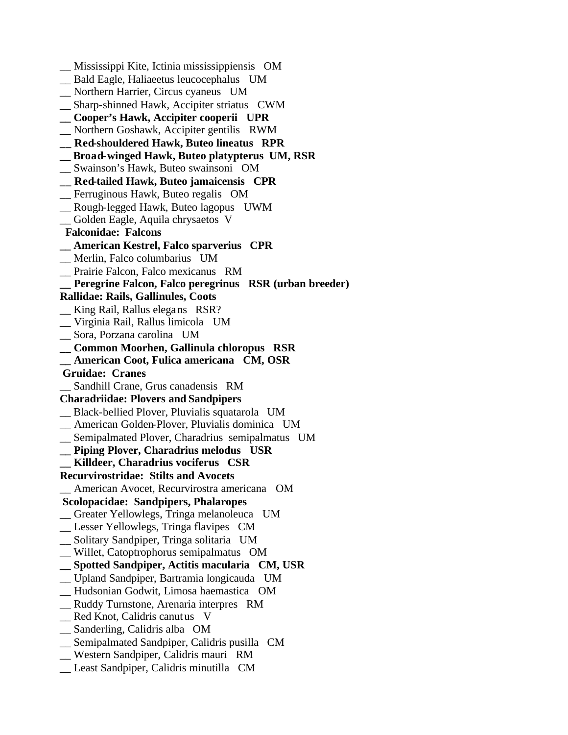\_\_ Mississippi Kite, Ictinia mississippiensis OM \_\_ Bald Eagle, Haliaeetus leucocephalus UM \_\_ Northern Harrier, Circus cyaneus UM \_\_ Sharp-shinned Hawk, Accipiter striatus CWM **\_\_ Cooper's Hawk, Accipiter cooperii UPR** \_\_ Northern Goshawk, Accipiter gentilis RWM **\_\_ Red-shouldered Hawk, Buteo lineatus RPR \_\_ Broad-winged Hawk, Buteo platypterus UM, RSR** \_\_ Swainson's Hawk, Buteo swainsoni OM **\_\_ Red-tailed Hawk, Buteo jamaicensis CPR** \_\_ Ferruginous Hawk, Buteo regalis OM \_\_ Rough-legged Hawk, Buteo lagopus UWM \_\_ Golden Eagle, Aquila chrysaetos V  **Falconidae: Falcons \_\_ American Kestrel, Falco sparverius CPR** \_\_ Merlin, Falco columbarius UM \_\_ Prairie Falcon, Falco mexicanus RM **\_\_ Peregrine Falcon, Falco peregrinus RSR (urban breeder) Rallidae: Rails, Gallinules, Coots** \_\_ King Rail, Rallus elegans RSR? \_\_ Virginia Rail, Rallus limicola UM \_\_ Sora, Porzana carolina UM **\_\_ Common Moorhen, Gallinula chloropus RSR \_\_ American Coot, Fulica americana CM, OSR Gruidae: Cranes** \_\_ Sandhill Crane, Grus canadensis RM **Charadriidae: Plovers and Sandpipers** \_\_ Black-bellied Plover, Pluvialis squatarola UM \_\_ American Golden-Plover, Pluvialis dominica UM \_\_ Semipalmated Plover, Charadrius semipalmatus UM **\_\_ Piping Plover, Charadrius melodus USR \_\_ Killdeer, Charadrius vociferus CSR Recurvirostridae: Stilts and Avocets** \_\_ American Avocet, Recurvirostra americana OM  **Scolopacidae: Sandpipers, Phalaropes** \_\_ Greater Yellowlegs, Tringa melanoleuca UM \_\_ Lesser Yellowlegs, Tringa flavipes CM \_\_ Solitary Sandpiper, Tringa solitaria UM \_\_ Willet, Catoptrophorus semipalmatus OM **\_\_ Spotted Sandpiper, Actitis macularia CM, USR** \_\_ Upland Sandpiper, Bartramia longicauda UM \_\_ Hudsonian Godwit, Limosa haemastica OM \_\_ Ruddy Turnstone, Arenaria interpres RM \_\_ Red Knot, Calidris canutus V \_\_ Sanderling, Calidris alba OM \_\_ Semipalmated Sandpiper, Calidris pusilla CM \_\_ Western Sandpiper, Calidris mauri RM \_\_ Least Sandpiper, Calidris minutilla CM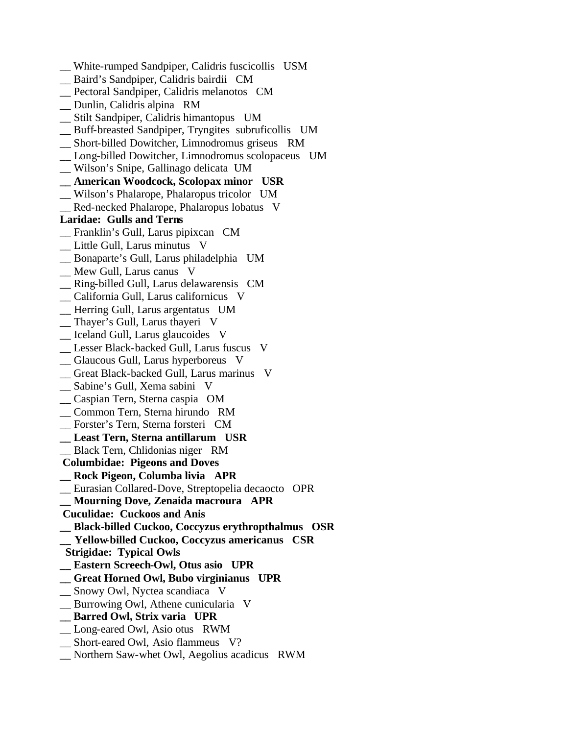- \_\_ White-rumped Sandpiper, Calidris fuscicollis USM \_\_ Baird's Sandpiper, Calidris bairdii CM \_\_ Pectoral Sandpiper, Calidris melanotos CM \_\_ Dunlin, Calidris alpina RM \_\_ Stilt Sandpiper, Calidris himantopus UM \_\_ Buff-breasted Sandpiper, Tryngites subruficollis UM \_\_ Short-billed Dowitcher, Limnodromus griseus RM \_\_ Long-billed Dowitcher, Limnodromus scolopaceus UM \_\_ Wilson's Snipe, Gallinago delicata UM **\_\_ American Woodcock, Scolopax minor USR** \_\_ Wilson's Phalarope, Phalaropus tricolor UM Red-necked Phalarope, Phalaropus lobatus V **Laridae: Gulls and Terns** \_\_ Franklin's Gull, Larus pipixcan CM \_\_ Little Gull, Larus minutus V \_\_ Bonaparte's Gull, Larus philadelphia UM \_\_ Mew Gull, Larus canus V \_\_ Ring-billed Gull, Larus delawarensis CM \_\_ California Gull, Larus californicus V \_\_ Herring Gull, Larus argentatus UM \_\_ Thayer's Gull, Larus thayeri V \_\_ Iceland Gull, Larus glaucoides V \_\_ Lesser Black-backed Gull, Larus fuscus V \_\_ Glaucous Gull, Larus hyperboreus V \_\_ Great Black-backed Gull, Larus marinus V \_\_ Sabine's Gull, Xema sabini V \_\_ Caspian Tern, Sterna caspia OM \_\_ Common Tern, Sterna hirundo RM \_\_ Forster's Tern, Sterna forsteri CM **\_\_ Least Tern, Sterna antillarum USR** \_\_ Black Tern, Chlidonias niger RM  **Columbidae: Pigeons and Doves \_\_ Rock Pigeon, Columba livia APR** \_\_ Eurasian Collared-Dove, Streptopelia decaocto OPR **\_\_ Mourning Dove, Zenaida macroura APR Cuculidae: Cuckoos and Anis \_\_ Black-billed Cuckoo, Coccyzus erythropthalmus OSR \_\_ Yellow-billed Cuckoo, Coccyzus americanus CSR Strigidae: Typical Owls \_\_ Eastern Screech-Owl, Otus asio UPR \_\_ Great Horned Owl, Bubo virginianus UPR** \_\_ Snowy Owl, Nyctea scandiaca V \_\_ Burrowing Owl, Athene cunicularia V **\_\_ Barred Owl, Strix varia UPR** \_\_ Long-eared Owl, Asio otus RWM \_\_ Short-eared Owl, Asio flammeus V?
- \_\_ Northern Saw-whet Owl, Aegolius acadicus RWM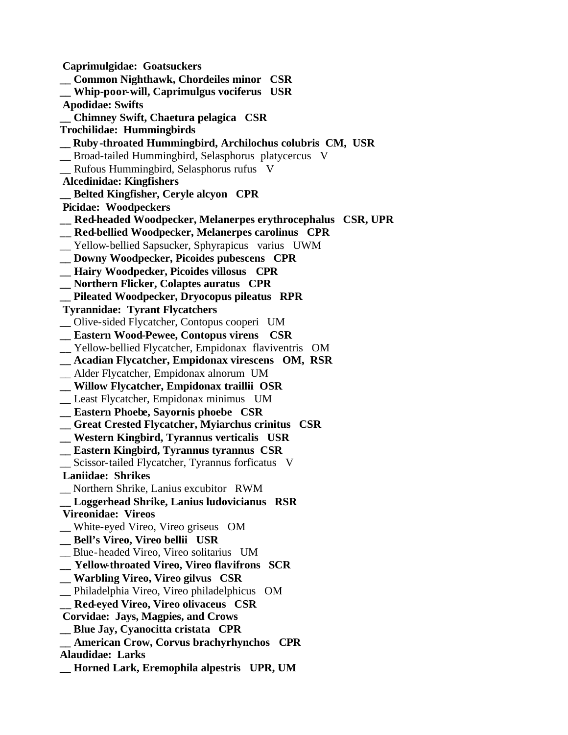**Caprimulgidae: Goatsuckers \_\_ Common Nighthawk, Chordeiles minor CSR \_\_ Whip-poor-will, Caprimulgus vociferus USR Apodidae: Swifts \_\_ Chimney Swift, Chaetura pelagica CSR Trochilidae: Hummingbirds \_\_ Ruby-throated Hummingbird, Archilochus colubris CM, USR** \_\_ Broad-tailed Hummingbird, Selasphorus platycercus V \_\_ Rufous Hummingbird, Selasphorus rufus V  **Alcedinidae: Kingfishers \_\_ Belted Kingfisher, Ceryle alcyon CPR Picidae: Woodpeckers \_\_ Red-headed Woodpecker, Melanerpes erythrocephalus CSR, UPR \_\_ Red-bellied Woodpecker, Melanerpes carolinus CPR** \_\_ Yellow-bellied Sapsucker, Sphyrapicus varius UWM **\_\_ Downy Woodpecker, Picoides pubescens CPR \_\_ Hairy Woodpecker, Picoides villosus CPR \_\_ Northern Flicker, Colaptes auratus CPR \_\_ Pileated Woodpecker, Dryocopus pileatus RPR Tyrannidae: Tyrant Flycatchers** \_\_ Olive-sided Flycatcher, Contopus cooperi UM **\_\_ Eastern Wood-Pewee, Contopus virens CSR** \_\_ Yellow-bellied Flycatcher, Empidonax flaviventris OM **\_\_ Acadian Flycatcher, Empidonax virescens OM, RSR** \_\_ Alder Flycatcher, Empidonax alnorum UM **\_\_ Willow Flycatcher, Empidonax traillii OSR** \_\_ Least Flycatcher, Empidonax minimus UM **\_\_ Eastern Phoebe, Sayornis phoebe CSR \_\_ Great Crested Flycatcher, Myiarchus crinitus CSR \_\_ Western Kingbird, Tyrannus verticalis USR \_\_ Eastern Kingbird, Tyrannus tyrannus CSR** \_\_ Scissor-tailed Flycatcher, Tyrannus forficatus V  **Laniidae: Shrikes** \_\_ Northern Shrike, Lanius excubitor RWM **\_\_ Loggerhead Shrike, Lanius ludovicianus RSR Vireonidae: Vireos** \_\_ White-eyed Vireo, Vireo griseus OM **\_\_ Bell's Vireo, Vireo bellii USR** \_\_ Blue-headed Vireo, Vireo solitarius UM **\_\_ Yellow-throated Vireo, Vireo flavifrons SCR \_\_ Warbling Vireo, Vireo gilvus CSR** \_\_ Philadelphia Vireo, Vireo philadelphicus OM **\_\_ Red-eyed Vireo, Vireo olivaceus CSR Corvidae: Jays, Magpies, and Crows \_\_ Blue Jay, Cyanocitta cristata CPR \_\_ American Crow, Corvus brachyrhynchos CPR Alaudidae: Larks \_\_ Horned Lark, Eremophila alpestris UPR, UM**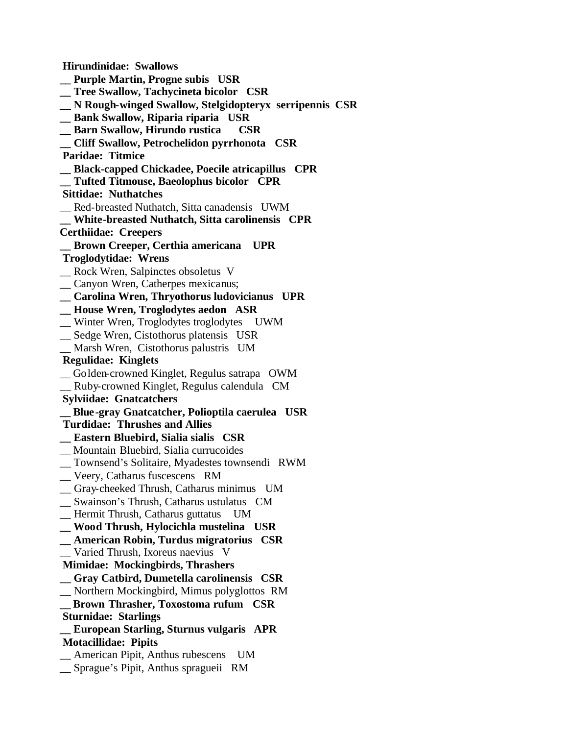**Hirundinidae: Swallows \_\_ Purple Martin, Progne subis USR \_\_ Tree Swallow, Tachycineta bicolor CSR \_\_ N Rough-winged Swallow, Stelgidopteryx serripennis CSR \_\_ Bank Swallow, Riparia riparia USR \_\_ Barn Swallow, Hirundo rustica CSR \_\_ Cliff Swallow, Petrochelidon pyrrhonota CSR Paridae: Titmice \_\_ Black-capped Chickadee, Poecile atricapillus CPR \_\_ Tufted Titmouse, Baeolophus bicolor CPR Sittidae: Nuthatches** \_\_ Red-breasted Nuthatch, Sitta canadensis UWM **\_\_ White-breasted Nuthatch, Sitta carolinensis CPR Certhiidae: Creepers \_\_ Brown Creeper, Certhia americana UPR Troglodytidae: Wrens** \_\_ Rock Wren, Salpinctes obsoletus V \_\_ Canyon Wren, Catherpes mexicanus; **\_\_ Carolina Wren, Thryothorus ludovicianus UPR \_\_ House Wren, Troglodytes aedon ASR** \_\_ Winter Wren, Troglodytes troglodytes UWM \_\_ Sedge Wren, Cistothorus platensis USR \_\_ Marsh Wren, Cistothorus palustris UM  **Regulidae: Kinglets** \_\_ Golden-crowned Kinglet, Regulus satrapa OWM \_\_ Ruby-crowned Kinglet, Regulus calendula CM  **Sylviidae: Gnatcatchers \_\_ Blue-gray Gnatcatcher, Polioptila caerulea USR Turdidae: Thrushes and Allies \_\_ Eastern Bluebird, Sialia sialis CSR** \_\_ Mountain Bluebird, Sialia currucoides \_\_ Townsend's Solitaire, Myadestes townsendi RWM \_\_ Veery, Catharus fuscescens RM \_\_ Gray-cheeked Thrush, Catharus minimus UM \_\_ Swainson's Thrush, Catharus ustulatus CM \_\_ Hermit Thrush, Catharus guttatus UM **\_\_ Wood Thrush, Hylocichla mustelina USR \_\_ American Robin, Turdus migratorius CSR** \_\_ Varied Thrush, Ixoreus naevius V  **Mimidae: Mockingbirds, Thrashers \_\_ Gray Catbird, Dumetella carolinensis CSR** \_\_ Northern Mockingbird, Mimus polyglottos RM **\_\_ Brown Thrasher, Toxostoma rufum CSR Sturnidae: Starlings \_\_ European Starling, Sturnus vulgaris APR Motacillidae: Pipits** \_\_ American Pipit, Anthus rubescens UM \_\_ Sprague's Pipit, Anthus spragueii RM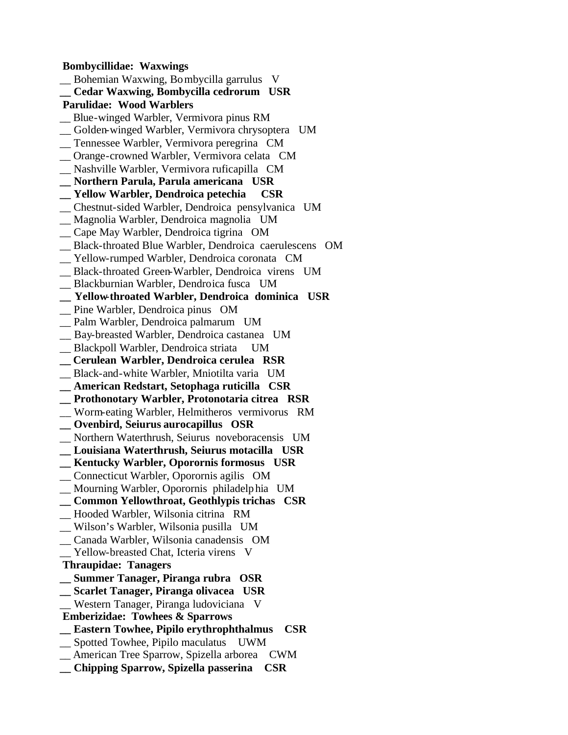**Bombycillidae: Waxwings** \_\_ Bohemian Waxwing, Bombycilla garrulus V **\_\_ Cedar Waxwing, Bombycilla cedrorum USR Parulidae: Wood Warblers** \_\_ Blue-winged Warbler, Vermivora pinus RM \_\_ Golden-winged Warbler, Vermivora chrysoptera UM \_\_ Tennessee Warbler, Vermivora peregrina CM \_\_ Orange-crowned Warbler, Vermivora celata CM \_\_ Nashville Warbler, Vermivora ruficapilla CM **\_\_ Northern Parula, Parula americana USR \_\_ Yellow Warbler, Dendroica petechia CSR** \_\_ Chestnut-sided Warbler, Dendroica pensylvanica UM \_\_ Magnolia Warbler, Dendroica magnolia UM \_\_ Cape May Warbler, Dendroica tigrina OM \_\_ Black-throated Blue Warbler, Dendroica caerulescens OM \_\_ Yellow-rumped Warbler, Dendroica coronata CM \_\_ Black-throated Green-Warbler, Dendroica virens UM \_\_ Blackburnian Warbler, Dendroica fusca UM **\_\_ Yellow-throated Warbler, Dendroica dominica USR** \_\_ Pine Warbler, Dendroica pinus OM \_\_ Palm Warbler, Dendroica palmarum UM \_\_ Bay-breasted Warbler, Dendroica castanea UM \_\_ Blackpoll Warbler, Dendroica striata UM **\_\_ Cerulean Warbler, Dendroica cerulea RSR** \_\_ Black-and-white Warbler, Mniotilta varia UM **\_\_ American Redstart, Setophaga ruticilla CSR \_\_ Prothonotary Warbler, Protonotaria citrea RSR** \_\_ Worm-eating Warbler, Helmitheros vermivorus RM **\_\_ Ovenbird, Seiurus aurocapillus OSR** \_\_ Northern Waterthrush, Seiurus noveboracensis UM **\_\_ Louisiana Waterthrush, Seiurus motacilla USR \_\_ Kentucky Warbler, Oporornis formosus USR** \_\_ Connecticut Warbler, Oporornis agilis OM \_\_ Mourning Warbler, Oporornis philadelphia UM **\_\_ Common Yellowthroat, Geothlypis trichas CSR** \_\_ Hooded Warbler, Wilsonia citrina RM \_\_ Wilson's Warbler, Wilsonia pusilla UM \_\_ Canada Warbler, Wilsonia canadensis OM Yellow-breasted Chat, Icteria virens V  **Thraupidae: Tanagers \_\_ Summer Tanager, Piranga rubra OSR \_\_ Scarlet Tanager, Piranga olivacea USR** \_\_ Western Tanager, Piranga ludoviciana V  **Emberizidae: Towhees & Sparrows \_\_ Eastern Towhee, Pipilo erythrophthalmus CSR** \_\_ Spotted Towhee, Pipilo maculatus UWM \_\_ American Tree Sparrow, Spizella arborea CWM **\_\_ Chipping Sparrow, Spizella passerina CSR**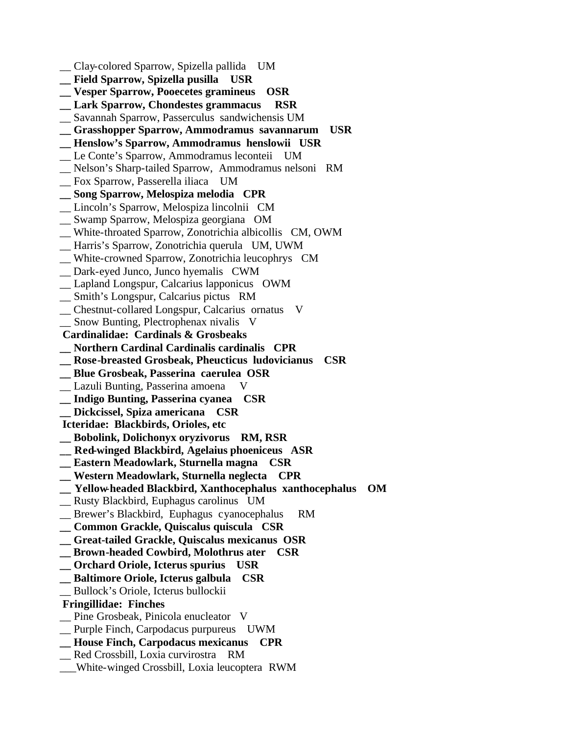\_\_ Clay-colored Sparrow, Spizella pallida UM **\_\_ Field Sparrow, Spizella pusilla USR \_\_ Vesper Sparrow, Pooecetes gramineus OSR \_\_ Lark Sparrow, Chondestes grammacus RSR** \_\_ Savannah Sparrow, Passerculus sandwichensis UM **\_\_ Grasshopper Sparrow, Ammodramus savannarum USR \_\_ Henslow's Sparrow, Ammodramus henslowii USR** \_\_ Le Conte's Sparrow, Ammodramus leconteii UM \_\_ Nelson's Sharp-tailed Sparrow, Ammodramus nelsoni RM \_\_ Fox Sparrow, Passerella iliaca UM **\_\_ Song Sparrow, Melospiza melodia CPR** \_\_ Lincoln's Sparrow, Melospiza lincolnii CM \_\_ Swamp Sparrow, Melospiza georgiana OM \_\_ White-throated Sparrow, Zonotrichia albicollis CM, OWM \_\_ Harris's Sparrow, Zonotrichia querula UM, UWM \_\_ White-crowned Sparrow, Zonotrichia leucophrys CM \_\_ Dark-eyed Junco, Junco hyemalis CWM \_\_ Lapland Longspur, Calcarius lapponicus OWM \_\_ Smith's Longspur, Calcarius pictus RM \_\_ Chestnut-collared Longspur, Calcarius ornatus V \_\_ Snow Bunting, Plectrophenax nivalis V  **Cardinalidae: Cardinals & Grosbeaks \_\_ Northern Cardinal Cardinalis cardinalis CPR \_\_ Rose-breasted Grosbeak, Pheucticus ludovicianus CSR \_\_ Blue Grosbeak, Passerina caerulea OSR**  \_\_ Lazuli Bunting, Passerina amoena V **\_\_ Indigo Bunting, Passerina cyanea CSR \_\_ Dickcissel, Spiza americana CSR Icteridae: Blackbirds, Orioles, etc \_\_ Bobolink, Dolichonyx oryzivorus RM, RSR \_\_ Red-winged Blackbird, Agelaius phoeniceus ASR \_\_ Eastern Meadowlark, Sturnella magna CSR \_\_ Western Meadowlark, Sturnella neglecta CPR \_\_ Yellow-headed Blackbird, Xanthocephalus xanthocephalus OM** \_\_ Rusty Blackbird, Euphagus carolinus UM \_\_ Brewer's Blackbird, Euphagus cyanocephalus RM **\_\_ Common Grackle, Quiscalus quiscula CSR \_\_ Great-tailed Grackle, Quiscalus mexicanus OSR \_\_ Brown-headed Cowbird, Molothrus ater CSR \_\_ Orchard Oriole, Icterus spurius USR \_\_ Baltimore Oriole, Icterus galbula CSR** \_\_ Bullock's Oriole, Icterus bullockii  **Fringillidae: Finches** \_\_ Pine Grosbeak, Pinicola enucleator V \_\_ Purple Finch, Carpodacus purpureus UWM **\_\_ House Finch, Carpodacus mexicanus CPR** \_\_ Red Crossbill, Loxia curvirostra RM \_\_\_White-winged Crossbill, Loxia leucoptera RWM